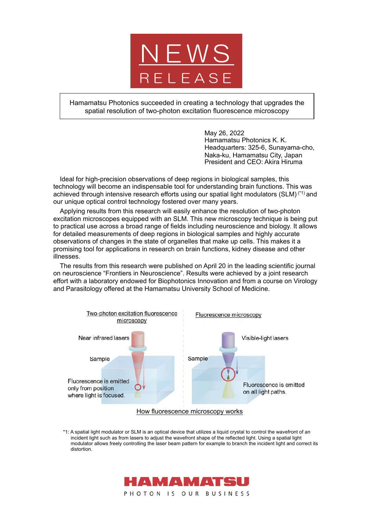

Hamamatsu Photonics succeeded in creating a technology that upgrades the spatial resolution of two-photon excitation fluorescence microscopy

> May 26, 2022 Hamamatsu Photonics K. K. Headquarters: 325-6, Sunayama-cho, Naka-ku, Hamamatsu City, Japan President and CEO: Akira Hiruma

Ideal for high-precision observations of deep regions in biological samples, this technology will become an indispensable tool for understanding brain functions. This was achieved through intensive research efforts using our spatial light modulators (SLM)<sup>(\*1)</sup> and our unique optical control technology fostered over many years.

Applying results from this research will easily enhance the resolution of two-photon excitation microscopes equipped with an SLM. This new microscopy technique is being put to practical use across a broad range of fields including neuroscience and biology. It allows for detailed measurements of deep regions in biological samples and highly accurate observations of changes in the state of organelles that make up cells. This makes it a promising tool for applications in research on brain functions, kidney disease and other illnesses.

The results from this research were published on April 20 in the leading scientific journal on neuroscience "Frontiers in Neuroscience". Results were achieved by a joint research effort with a laboratory endowed for Biophotonics Innovation and from a course on Virology and Parasitology offered at the Hamamatsu University School of Medicine.



\*1: A spatial light modulator or SLM is an optical device that utilizes a liquid crystal to control the wavefront of an incident light such as from lasers to adjust the wavefront shape of the reflected light. Using a spatial light modulator allows freely controlling the laser beam pattern for example to branch the incident light and correct its distortion.

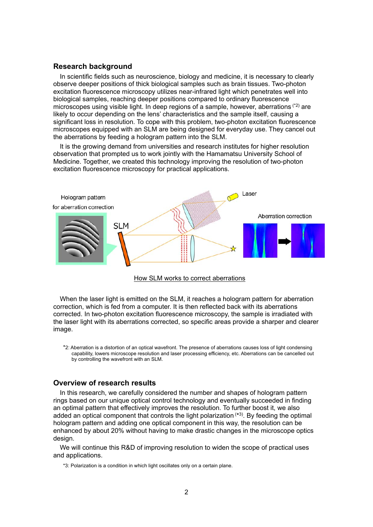## **Research background**

In scientific fields such as neuroscience, biology and medicine, it is necessary to clearly observe deeper positions of thick biological samples such as brain tissues. Two-photon excitation fluorescence microscopy utilizes near-infrared light which penetrates well into biological samples, reaching deeper positions compared to ordinary fluorescence microscopes using visible light. In deep regions of a sample, however, aberrations  $(2)$  are likely to occur depending on the lens' characteristics and the sample itself, causing a significant loss in resolution. To cope with this problem, two-photon excitation fluorescence microscopes equipped with an SLM are being designed for everyday use. They cancel out the aberrations by feeding a hologram pattern into the SLM.

It is the growing demand from universities and research institutes for higher resolution observation that prompted us to work jointly with the Hamamatsu University School of Medicine. Together, we created this technology improving the resolution of two-photon excitation fluorescence microscopy for practical applications.



## How SLM works to correct aberrations

When the laser light is emitted on the SLM, it reaches a hologram pattern for aberration correction, which is fed from a computer. It is then reflected back with its aberrations corrected. In two-photon excitation fluorescence microscopy, the sample is irradiated with the laser light with its aberrations corrected, so specific areas provide a sharper and clearer image.

\*2: Aberration is a distortion of an optical wavefront. The presence of aberrations causes loss of light condensing capability, lowers microscope resolution and laser processing efficiency, etc. Aberrations can be cancelled out by controlling the wavefront with an SLM.

## **Overview of research results**

In this research, we carefully considered the number and shapes of hologram pattern rings based on our unique optical control technology and eventually succeeded in finding an optimal pattern that effectively improves the resolution. To further boost it, we also added an optical component that controls the light polarization  $(*3)$ . By feeding the optimal hologram pattern and adding one optical component in this way, the resolution can be enhanced by about 20% without having to make drastic changes in the microscope optics design.

We will continue this R&D of improving resolution to widen the scope of practical uses and applications.

\*3: Polarization is a condition in which light oscillates only on a certain plane.